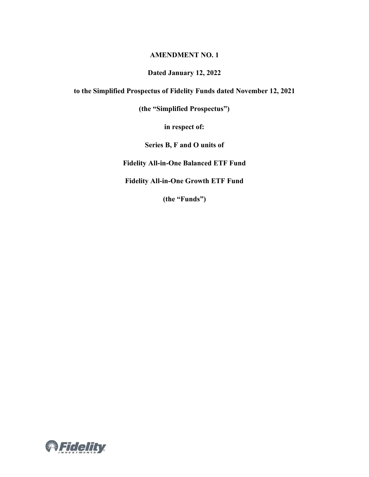#### **AMENDMENT NO. 1**

### **Dated January 12, 2022**

**to the Simplified Prospectus of Fidelity Funds dated November 12, 2021**

**(the "Simplified Prospectus")**

**in respect of:**

**Series B, F and O units of** 

**Fidelity All-in-One Balanced ETF Fund**

**Fidelity All-in-One Growth ETF Fund**

**(the "Funds")**

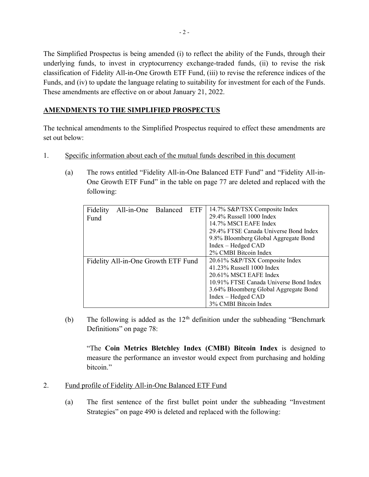The Simplified Prospectus is being amended (i) to reflect the ability of the Funds, through their underlying funds, to invest in cryptocurrency exchange-traded funds, (ii) to revise the risk classification of Fidelity All-in-One Growth ETF Fund, (iii) to revise the reference indices of the Funds, and (iv) to update the language relating to suitability for investment for each of the Funds. These amendments are effective on or about January 21, 2022.

# **AMENDMENTS TO THE SIMPLIFIED PROSPECTUS**

The technical amendments to the Simplified Prospectus required to effect these amendments are set out below:

- 1. Specific information about each of the mutual funds described in this document
	- (a) The rows entitled "Fidelity All-in-One Balanced ETF Fund" and "Fidelity All-in-One Growth ETF Fund" in the table on page 77 are deleted and replaced with the following:

| Fidelity                            | All-in-One Balanced |  | ETF                            | 14.7% S&P/TSX Composite Index          |
|-------------------------------------|---------------------|--|--------------------------------|----------------------------------------|
| Fund                                |                     |  |                                | 29.4% Russell 1000 Index               |
|                                     |                     |  |                                | 14.7% MSCI EAFE Index                  |
|                                     |                     |  |                                | 29.4% FTSE Canada Universe Bond Index  |
|                                     |                     |  |                                | 9.8% Bloomberg Global Aggregate Bond   |
|                                     |                     |  |                                | Index – Hedged CAD                     |
|                                     |                     |  |                                | 2% CMBI Bitcoin Index                  |
| Fidelity All-in-One Growth ETF Fund |                     |  | 20.61% S&P/TSX Composite Index |                                        |
|                                     |                     |  |                                | 41.23% Russell 1000 Index              |
|                                     |                     |  |                                | 20.61% MSCI EAFE Index                 |
|                                     |                     |  |                                | 10.91% FTSE Canada Universe Bond Index |
|                                     |                     |  |                                | 3.64% Bloomberg Global Aggregate Bond  |
|                                     |                     |  |                                | Index – Hedged CAD                     |
|                                     |                     |  |                                |                                        |
|                                     |                     |  |                                | 3% CMBI Bitcoin Index                  |

(b) The following is added as the  $12<sup>th</sup>$  definition under the subheading "Benchmark" Definitions" on page 78:

"The **Coin Metrics Bletchley Index (CMBI) Bitcoin Index** is designed to measure the performance an investor would expect from purchasing and holding bitcoin."

- 2. Fund profile of Fidelity All-in-One Balanced ETF Fund
	- (a) The first sentence of the first bullet point under the subheading "Investment Strategies" on page 490 is deleted and replaced with the following: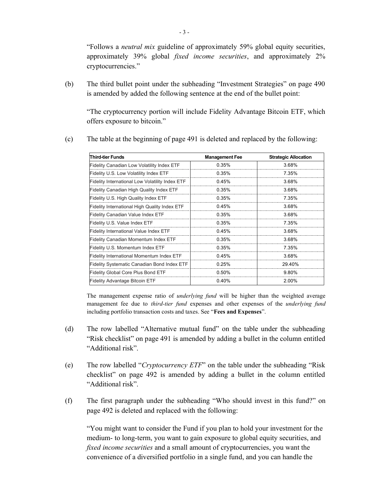"Follows a *neutral mix* guideline of approximately 59% global equity securities, approximately 39% global *fixed income securities*, and approximately 2% cryptocurrencies."

(b) The third bullet point under the subheading "Investment Strategies" on page 490 is amended by added the following sentence at the end of the bullet point:

"The cryptocurrency portion will include Fidelity Advantage Bitcoin ETF, which offers exposure to bitcoin."

| <b>Third-tier Funds</b>                            | <b>Management Fee</b> | <b>Strategic Allocation</b> |
|----------------------------------------------------|-----------------------|-----------------------------|
| Fidelity Canadian Low Volatility Index ETF         | 0.35%                 | 3.68%                       |
| Fidelity U.S. Low Volatility Index ETF             | 0.35%                 | 7.35%                       |
| Fidelity International Low Volatility Index ETF    | 0.45%                 | 3.68%                       |
| Fidelity Canadian High Quality Index ETF           | 0.35%                 | 3.68%                       |
| Fidelity U.S. High Quality Index ETF               | 0.35%                 | 7.35%                       |
| Fidelity International High Quality Index ETF      | 0.45%                 | 3.68%                       |
| Fidelity Canadian Value Index ETF                  | 0.35%                 | 3.68%                       |
| Fidelity U.S. Value Index ETF                      | 0.35%                 | 7.35%                       |
| Fidelity International Value Index ETF             | 0.45%                 | 3.68%                       |
| <b>Fidelity Canadian Momentum Index ETF</b>        | 0.35%                 | 368%                        |
| Fidelity U.S. Momentum Index ETF                   | 0.35%                 | 7.35%                       |
| Fidelity International Momentum Index ETF          | 0.45%                 | 3.68%                       |
| <b>Fidelity Systematic Canadian Bond Index ETF</b> | 0.25%                 | 29.40%                      |
| <b>Fidelity Global Core Plus Bond ETF</b>          | 0.50%                 | 9.80%                       |
| Fidelity Advantage Bitcoin ETF                     | 0.40%                 | 2.00%                       |

(c) The table at the beginning of page 491 is deleted and replaced by the following:

The management expense ratio of *underlying fund* will be higher than the weighted average management fee due to *third-tier fund* expenses and other expenses of the *underlying fund*  including portfolio transaction costs and taxes. See "**Fees and Expenses**".

- (d) The row labelled "Alternative mutual fund" on the table under the subheading "Risk checklist" on page 491 is amended by adding a bullet in the column entitled "Additional risk".
- (e) The row labelled "*Cryptocurrency ETF*" on the table under the subheading "Risk checklist" on page 492 is amended by adding a bullet in the column entitled "Additional risk".
- (f) The first paragraph under the subheading "Who should invest in this fund?" on page 492 is deleted and replaced with the following:

"You might want to consider the Fund if you plan to hold your investment for the medium- to long-term, you want to gain exposure to global equity securities, and *fixed income securities* and a small amount of cryptocurrencies, you want the convenience of a diversified portfolio in a single fund, and you can handle the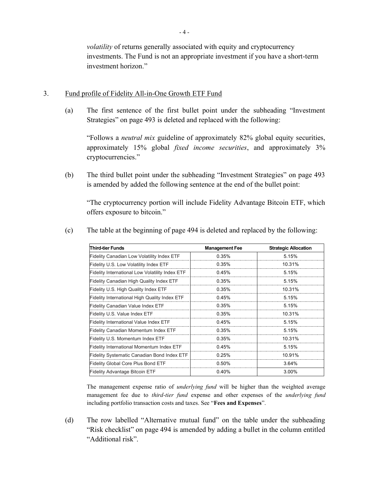*volatility* of returns generally associated with equity and cryptocurrency investments. The Fund is not an appropriate investment if you have a short-term investment horizon."

### 3. Fund profile of Fidelity All-in-One Growth ETF Fund

(a) The first sentence of the first bullet point under the subheading "Investment Strategies" on page 493 is deleted and replaced with the following:

"Follows a *neutral mix* guideline of approximately 82% global equity securities, approximately 15% global *fixed income securities*, and approximately 3% cryptocurrencies."

(b) The third bullet point under the subheading "Investment Strategies" on page 493 is amended by added the following sentence at the end of the bullet point:

"The cryptocurrency portion will include Fidelity Advantage Bitcoin ETF, which offers exposure to bitcoin."

| <b>Third-tier Funds</b>                              | <b>Management Fee</b> | <b>Strategic Allocation</b> |
|------------------------------------------------------|-----------------------|-----------------------------|
| Fidelity Canadian Low Volatility Index ETF           | 0.35%                 | 5.15%                       |
| Fidelity U.S. Low Volatility Index ETF               | 0.35%                 | 10 31%                      |
| Fidelity International Low Volatility Index ETF      | 0.45%                 | 5.15%                       |
| Fidelity Canadian High Quality Index ETF             | 0.35%                 | 5.15%                       |
| Fidelity U.S. High Quality Index ETF                 | 0.35%                 | 10.31%                      |
| <b>Fidelity International High Quality Index ETF</b> | 0.45%                 | 5.15%                       |
| <b>Fidelity Canadian Value Index ETF</b>             | 0.35%                 | 5.15%                       |
| Fidelity U.S. Value Index ETF                        | 0.35%                 | 10.31%                      |
| Fidelity International Value Index ETF               | 0.45%                 | 5.15%                       |
| <b>Fidelity Canadian Momentum Index ETF</b>          | $0.35\%$              | 5.15%                       |
| Fidelity U.S. Momentum Index ETF                     | 0.35%                 | 10.31%                      |
| <b>Fidelity International Momentum Index ETF</b>     | 0.45%                 | 5.15%                       |
| <b>Fidelity Systematic Canadian Bond Index ETF</b>   | 0.25%                 | 10.91%                      |
| <b>Fidelity Global Core Plus Bond ETF</b>            | $0.50\%$              | 3.64%                       |
| <b>Fidelity Advantage Bitcoin ETF</b>                | 0.40%                 | $3.00\%$                    |

(c) The table at the beginning of page 494 is deleted and replaced by the following:

The management expense ratio of *underlying fund* will be higher than the weighted average management fee due to *third-tier fund* expense and other expenses of the *underlying fund*  including portfolio transaction costs and taxes. See "**Fees and Expenses**".

(d) The row labelled "Alternative mutual fund" on the table under the subheading "Risk checklist" on page 494 is amended by adding a bullet in the column entitled "Additional risk".